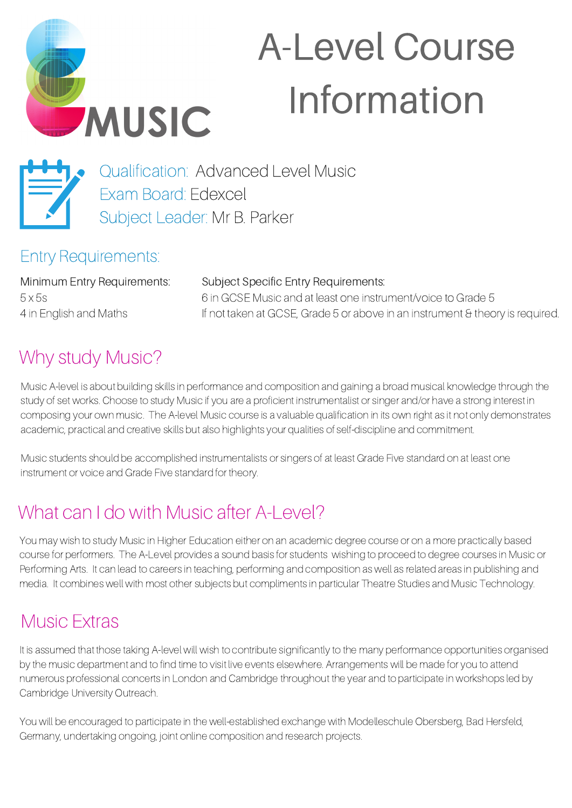

# A-Level Course Information



Qualification: Advanced Level Music Exam Board: Edexcel Subject Leader: Mr B. Parker

### Entry Requirements:

Minimum Entry Requirements: 5 x 5s 4 in English and Maths

Subject Specific Entry Requirements: 6 in GCSE Music and at least one instrument/voice to Grade 5 If not taken at GCSE, Grade 5 or above in an instrument & theory is required.

## Why study Music?

Music A-level is about building skills in performance and composition and gaining a broad musical knowledge through the study of set works. Choose to study Music if you are a proficient instrumentalist or singer and/or have a strong interest in composing your own music. The A-level Music course is a valuable qualification in its own right as it not only demonstrates academic, practical and creative skills but also highlights your qualities of self-discipline and commitment.

Music students should be accomplished instrumentalists or singers of at least Grade Five standard on at least one instrument or voice and Grade Five standard for theory.

## What can I do with Music after A-Level?

You may wish to study Music in Higher Education either on an academic degree course or on a more practically based course for performers. The A-Level provides a sound basis for students wishing to proceed to degree courses in Music or Performing Arts. It can lead to careers in teaching, performing and composition as well as related areas in publishing and media. It combines well with most other subjects but compliments in particular Theatre Studies and Music Technology.

### Music Extras

It is assumed that those taking A-level will wish to contribute significantly to the many performance opportunities organised by the music department and to find time to visit live events elsewhere. Arrangements will be made for you to attend numerous professional concerts in London and Cambridge throughout the year and to participate in workshops led by Cambridge University Outreach.

You will be encouraged to participate in the well-established exchange with Modelleschule Obersberg, Bad Hersfeld, Germany, undertaking ongoing, joint online composition and research projects.